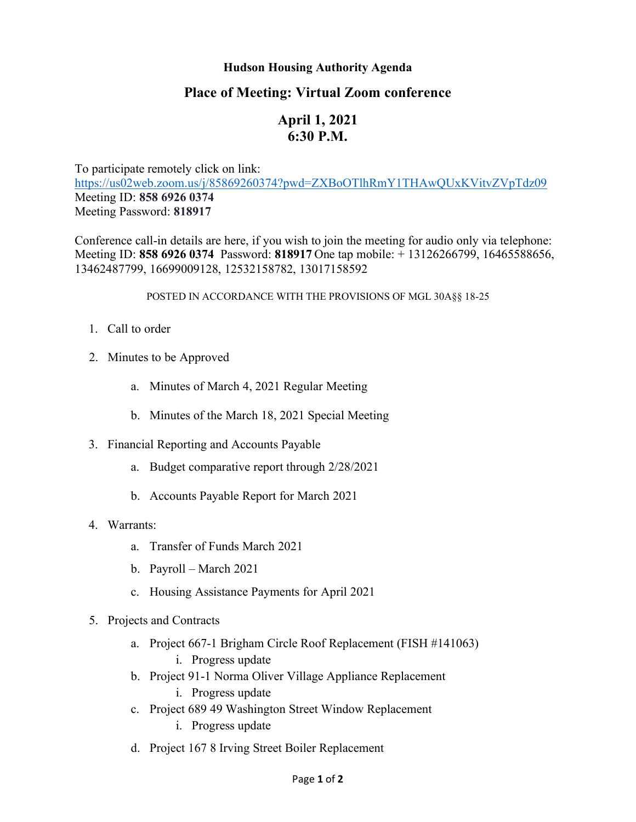## **Hudson Housing Authority Agenda**

## **Place of Meeting: Virtual Zoom conference**

# **April 1, 2021 6:30 P.M.**

To participate remotely click on link: <https://us02web.zoom.us/j/85869260374?pwd=ZXBoOTlhRmY1THAwQUxKVitvZVpTdz09> Meeting ID: **858 6926 0374** Meeting Password: **818917**

Conference call-in details are here, if you wish to join the meeting for audio only via telephone: Meeting ID: **858 6926 0374** Password: **818917** One tap mobile: + 13126266799, 16465588656, 13462487799, 16699009128, 12532158782, 13017158592

#### POSTED IN ACCORDANCE WITH THE PROVISIONS OF MGL 30A§§ 18-25

- 1. Call to order
- 2. Minutes to be Approved
	- a. Minutes of March 4, 2021 Regular Meeting
	- b. Minutes of the March 18, 2021 Special Meeting
- 3. Financial Reporting and Accounts Payable
	- a. Budget comparative report through 2/28/2021
	- b. Accounts Payable Report for March 2021
- 4. Warrants:
	- a. Transfer of Funds March 2021
	- b. Payroll March 2021
	- c. Housing Assistance Payments for April 2021

### 5. Projects and Contracts

- a. Project 667-1 Brigham Circle Roof Replacement (FISH #141063) i. Progress update
- b. Project 91-1 Norma Oliver Village Appliance Replacement
	- i. Progress update
- c. Project 689 49 Washington Street Window Replacement
	- i. Progress update
- d. Project 167 8 Irving Street Boiler Replacement